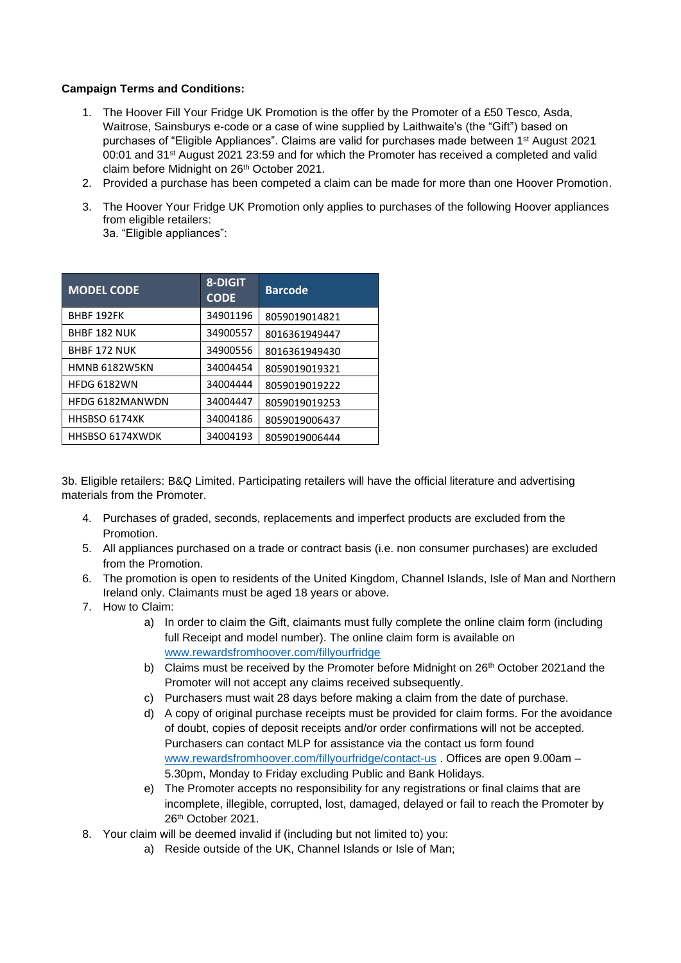## **Campaign Terms and Conditions:**

- 1. The Hoover Fill Your Fridge UK Promotion is the offer by the Promoter of a £50 Tesco, Asda, Waitrose, Sainsburys e-code or a case of wine supplied by Laithwaite's (the "Gift") based on purchases of "Eligible Appliances". Claims are valid for purchases made between 1st August 2021 00:01 and 31st August 2021 23:59 and for which the Promoter has received a completed and valid claim before Midnight on 26<sup>th</sup> October 2021.
- 2. Provided a purchase has been competed a claim can be made for more than one Hoover Promotion.
- 3. The Hoover Your Fridge UK Promotion only applies to purchases of the following Hoover appliances from eligible retailers: 3a. "Eligible appliances":

| <b>MODEL CODE</b>      | <b>8-DIGIT</b><br><b>CODE</b> | <b>Barcode</b> |
|------------------------|-------------------------------|----------------|
| <b>BHBF 192FK</b>      | 34901196                      | 8059019014821  |
| <b>BHBF 182 NUK</b>    | 34900557                      | 8016361949447  |
| <b>BHBF 172 NUK</b>    | 34900556                      | 8016361949430  |
| <b>HMNB 6182W5KN</b>   | 34004454                      | 8059019019321  |
| <b>HFDG 6182WN</b>     | 34004444                      | 8059019019222  |
| <b>HFDG 6182MANWDN</b> | 34004447                      | 8059019019253  |
| HHSBSO 6174XK          | 34004186                      | 8059019006437  |
| HHSBSO 6174XWDK        | 34004193                      | 8059019006444  |

3b. Eligible retailers: B&Q Limited. Participating retailers will have the official literature and advertising materials from the Promoter.

- 4. Purchases of graded, seconds, replacements and imperfect products are excluded from the Promotion.
- 5. All appliances purchased on a trade or contract basis (i.e. non consumer purchases) are excluded from the Promotion.
- 6. The promotion is open to residents of the United Kingdom, Channel Islands, Isle of Man and Northern Ireland only. Claimants must be aged 18 years or above.
- 7. How to Claim:
	- a) In order to claim the Gift, claimants must fully complete the online claim form (including full Receipt and model number). The online claim form is available on [www.rewardsfromhoover.com/fillyourfridge](http://www.rewardsfromhoover.com/fillyourfridge)
	- b) Claims must be received by the Promoter before Midnight on 26<sup>th</sup> October 2021and the Promoter will not accept any claims received subsequently.
	- c) Purchasers must wait 28 days before making a claim from the date of purchase.
	- d) A copy of original purchase receipts must be provided for claim forms. For the avoidance of doubt, copies of deposit receipts and/or order confirmations will not be accepted. Purchasers can contact MLP for assistance via the contact us form found [www.rewardsfromhoover.com/fillyourfridge/contact-us](http://www.rewardsfromhoover.com/fillyourfridge/contact-us) . Offices are open 9.00am – 5.30pm, Monday to Friday excluding Public and Bank Holidays.
	- e) The Promoter accepts no responsibility for any registrations or final claims that are incomplete, illegible, corrupted, lost, damaged, delayed or fail to reach the Promoter by 26th October 2021.
- 8. Your claim will be deemed invalid if (including but not limited to) you:
	- a) Reside outside of the UK, Channel Islands or Isle of Man;